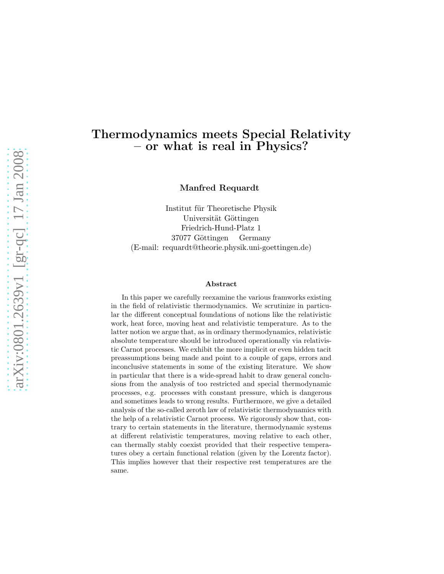# Thermodynamics meets Special Relativity – or what is real in Physics?

Manfred Requardt

Institut für Theoretische Physik Universität Göttingen Friedrich-Hund-Platz 1 37077 Göttingen Germany (E-mail: requardt@theorie.physik.uni-goettingen.de)

#### Abstract

In this paper we carefully reexamine the various framworks existing in the field of relativistic thermodynamics. We scrutinize in particular the different conceptual foundations of notions like the relativistic work, heat force, moving heat and relativistic temperature. As to the latter notion we argue that, as in ordinary thermodynamics, relativistic absolute temperature should be introduced operationally via relativistic Carnot processes. We exhibit the more implicit or even hidden tacit preassumptions being made and point to a couple of gaps, errors and inconclusive statements in some of the existing literature. We show in particular that there is a wide-spread habit to draw general conclusions from the analysis of too restricted and special thermodynamic processes, e.g. processes with constant pressure, which is dangerous and sometimes leads to wrong results. Furthermore, we give a detailed analysis of the so-called zeroth law of relativistic thermodynamics with the help of a relativistic Carnot process. We rigorously show that, contrary to certain statements in the literature, thermodynamic systems at different relativistic temperatures, moving relative to each other, can thermally stably coexist provided that their respective temperatures obey a certain functional relation (given by the Lorentz factor). This implies however that their respective rest temperatures are the same.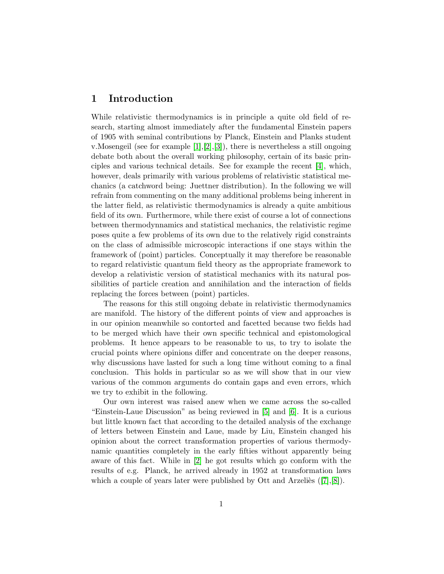## 1 Introduction

While relativistic thermodynamics is in principle a quite old field of research, starting almost immediately after the fundamental Einstein papers of 1905 with seminal contributions by Planck, Einstein and Planks student v.Mosengeil (see for example [\[1\]](#page-25-0),[\[2\]](#page-25-1),[\[3\]](#page-25-2)), there is nevertheless a still ongoing debate both about the overall working philosophy, certain of its basic principles and various technical details. See for example the recent [\[4\]](#page-25-3), which, however, deals primarily with various problems of relativistic statistical mechanics (a catchword being: Juettner distribution). In the following we will refrain from commenting on the many additional problems being inherent in the latter field, as relativistic thermodynamics is already a quite ambitious field of its own. Furthermore, while there exist of course a lot of connections between thermodynnamics and statistical mechanics, the relativistic regime poses quite a few problems of its own due to the relatively rigid constraints on the class of admissible microscopic interactions if one stays within the framework of (point) particles. Conceptually it may therefore be reasonable to regard relativistic quantum field theory as the appropriate framework to develop a relativistic version of statistical mechanics with its natural possibilities of particle creation and annihilation and the interaction of fields replacing the forces between (point) particles.

The reasons for this still ongoing debate in relativistic thermodynamics are manifold. The history of the different points of view and approaches is in our opinion meanwhile so contorted and facetted because two fields had to be merged which have their own specific technical and epistomological problems. It hence appears to be reasonable to us, to try to isolate the crucial points where opinions differ and concentrate on the deeper reasons, why discussions have lasted for such a long time without coming to a final conclusion. This holds in particular so as we will show that in our view various of the common arguments do contain gaps and even errors, which we try to exhibit in the following.

Our own interest was raised anew when we came across the so-called "Einstein-Laue Discussion" as being reviewed in [\[5\]](#page-25-4) and [\[6\]](#page-25-5). It is a curious but little known fact that according to the detailed analysis of the exchange of letters between Einstein and Laue, made by Liu, Einstein changed his opinion about the correct transformation properties of various thermodynamic quantities completely in the early fifties without apparently being aware of this fact. While in [\[2\]](#page-25-1) he got results which go conform with the results of e.g. Planck, he arrived already in 1952 at transformation laws which a couple of years later were published by Ott and Arzeliès  $([7],[8])$  $([7],[8])$  $([7],[8])$  $([7],[8])$  $([7],[8])$ .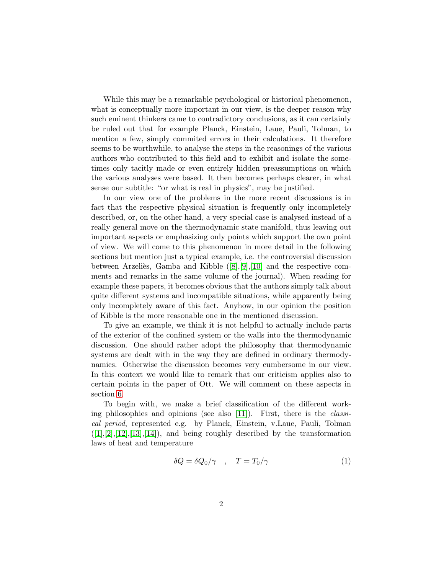While this may be a remarkable psychological or historical phenomenon, what is conceptually more important in our view, is the deeper reason why such eminent thinkers came to contradictory conclusions, as it can certainly be ruled out that for example Planck, Einstein, Laue, Pauli, Tolman, to mention a few, simply commited errors in their calculations. It therefore seems to be worthwhile, to analyse the steps in the reasonings of the various authors who contributed to this field and to exhibit and isolate the sometimes only tacitly made or even entirely hidden preassumptions on which the various analyses were based. It then becomes perhaps clearer, in what sense our subtitle: "or what is real in physics", may be justified.

In our view one of the problems in the more recent discussions is in fact that the respective physical situation is frequently only incompletely described, or, on the other hand, a very special case is analysed instead of a really general move on the thermodynamic state manifold, thus leaving out important aspects or emphasizing only points which support the own point of view. We will come to this phenomenon in more detail in the following sections but mention just a typical example, i.e. the controversial discussion between Arzeliès, Gamba and Kibble  $([8],[9],[10]$  $([8],[9],[10]$  $([8],[9],[10]$  $([8],[9],[10]$  $([8],[9],[10]$  $([8],[9],[10]$  and the respective comments and remarks in the same volume of the journal). When reading for example these papers, it becomes obvious that the authors simply talk about quite different systems and incompatible situations, while apparently being only incompletely aware of this fact. Anyhow, in our opinion the position of Kibble is the more reasonable one in the mentioned discussion.

To give an example, we think it is not helpful to actually include parts of the exterior of the confined system or the walls into the thermodynamic discussion. One should rather adopt the philosophy that thermodynamic systems are dealt with in the way they are defined in ordinary thermodynamics. Otherwise the discussion becomes very cumbersome in our view. In this context we would like to remark that our criticism applies also to certain points in the paper of Ott. We will comment on these aspects in section [6.](#page-21-0)

To begin with, we make a brief classification of the different working philosophies and opinions (see also [\[11\]](#page-25-10)). First, there is the classical period, represented e.g. by Planck, Einstein, v.Laue, Pauli, Tolman  $([1],[2],[12],[13],[14])$  $([1],[2],[12],[13],[14])$  $([1],[2],[12],[13],[14])$  $([1],[2],[12],[13],[14])$  $([1],[2],[12],[13],[14])$  $([1],[2],[12],[13],[14])$  $([1],[2],[12],[13],[14])$  $([1],[2],[12],[13],[14])$  $([1],[2],[12],[13],[14])$  $([1],[2],[12],[13],[14])$  $([1],[2],[12],[13],[14])$ , and being roughly described by the transformation laws of heat and temperature

$$
\delta Q = \delta Q_0 / \gamma \quad , \quad T = T_0 / \gamma \tag{1}
$$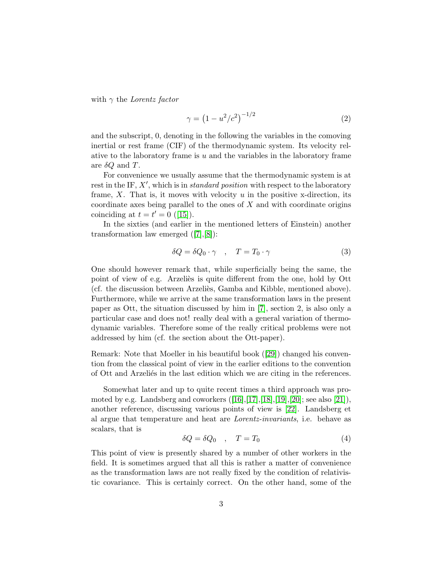with  $\gamma$  the Lorentz factor

$$
\gamma = \left(1 - u^2/c^2\right)^{-1/2} \tag{2}
$$

and the subscript, 0, denoting in the following the variables in the comoving inertial or rest frame (CIF) of the thermodynamic system. Its velocity relative to the laboratory frame is  $u$  and the variables in the laboratory frame are  $\delta Q$  and T.

For convenience we usually assume that the thermodynamic system is at rest in the IF,  $X'$ , which is in *standard position* with respect to the laboratory frame,  $X$ . That is, it moves with velocity  $u$  in the positive x-direction, its coordinate axes being parallel to the ones of  $X$  and with coordinate origins coinciding at  $t = t' = 0$  ([\[15\]](#page-25-14)).

In the sixties (and earlier in the mentioned letters of Einstein) another transformation law emerged ([\[7\]](#page-25-6),[\[8\]](#page-25-7)):

$$
\delta Q = \delta Q_0 \cdot \gamma \quad , \quad T = T_0 \cdot \gamma \tag{3}
$$

One should however remark that, while superficially being the same, the point of view of e.g. Arzelies is quite different from the one, hold by Ott (cf. the discussion between Arzeliès, Gamba and Kibble, mentioned above). Furthermore, while we arrive at the same transformation laws in the present paper as Ott, the situation discussed by him in [\[7\]](#page-25-6), section 2, is also only a particular case and does not! really deal with a general variation of thermodynamic variables. Therefore some of the really critical problems were not addressed by him (cf. the section about the Ott-paper).

Remark: Note that Moeller in his beautiful book ([\[29\]](#page-26-0)) changed his convention from the classical point of view in the earlier editions to the convention of Ott and Arzelies in the last edition which we are citing in the references.

Somewhat later and up to quite recent times a third approach was promoted by e.g. Landsberg and coworkers  $([16],[17],[18],[19],[20]$  $([16],[17],[18],[19],[20]$  $([16],[17],[18],[19],[20]$  $([16],[17],[18],[19],[20]$  $([16],[17],[18],[19],[20]$  $([16],[17],[18],[19],[20]$  $([16],[17],[18],[19],[20]$  $([16],[17],[18],[19],[20]$  $([16],[17],[18],[19],[20]$  $([16],[17],[18],[19],[20]$ ; see also [\[21\]](#page-26-4)), another reference, discussing various points of view is [\[22\]](#page-26-5). Landsberg et al argue that temperature and heat are Lorentz-invariants, i.e. behave as scalars, that is

$$
\delta Q = \delta Q_0 \quad , \quad T = T_0 \tag{4}
$$

This point of view is presently shared by a number of other workers in the field. It is sometimes argued that all this is rather a matter of convenience as the transformation laws are not really fixed by the condition of relativistic covariance. This is certainly correct. On the other hand, some of the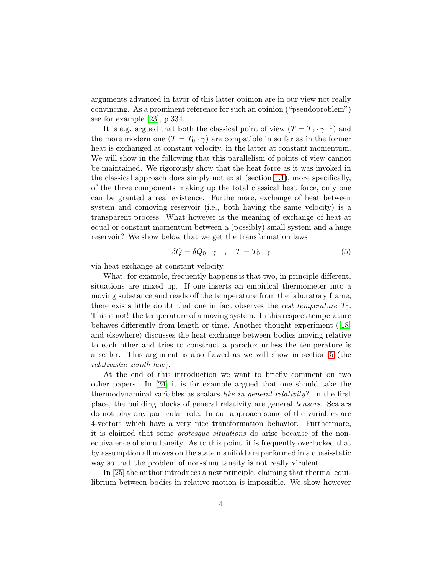arguments advanced in favor of this latter opinion are in our view not really convincing. As a prominent reference for such an opinion ("pseudoproblem") see for example [\[23\]](#page-26-6), p.334.

It is e.g. argued that both the classical point of view  $(T = T_0 \cdot \gamma^{-1})$  and the more modern one  $(T = T_0 \cdot \gamma)$  are compatible in so far as in the former heat is exchanged at constant velocity, in the latter at constant momentum. We will show in the following that this parallelism of points of view cannot be maintained. We rigorously show that the heat force as it was invoked in the classical approach does simply not exist (section [4.1\)](#page-11-0), more specifically, of the three components making up the total classical heat force, only one can be granted a real existence. Furthermore, exchange of heat between system and comoving reservoir (i.e., both having the same velocity) is a transparent process. What however is the meaning of exchange of heat at equal or constant momentum between a (possibly) small system and a huge reservoir? We show below that we get the transformation laws

$$
\delta Q = \delta Q_0 \cdot \gamma \quad , \quad T = T_0 \cdot \gamma \tag{5}
$$

via heat exchange at constant velocity.

What, for example, frequently happens is that two, in principle different, situations are mixed up. If one inserts an empirical thermometer into a moving substance and reads off the temperature from the laboratory frame, there exists little doubt that one in fact observes the rest temperature  $T_0$ . This is not! the temperature of a moving system. In this respect temperature behaves differently from length or time. Another thought experiment ([\[18\]](#page-26-1) and elsewhere) discusses the heat exchange between bodies moving relative to each other and tries to construct a paradox unless the temperature is a scalar. This argument is also flawed as we will show in section [5](#page-19-0) (the relativistic zeroth law).

At the end of this introduction we want to briefly comment on two other papers. In [\[24\]](#page-26-7) it is for example argued that one should take the thermodynamical variables as scalars like in general relativity? In the first place, the building blocks of general relativity are general tensors. Scalars do not play any particular role. In our approach some of the variables are 4-vectors which have a very nice transformation behavior. Furthermore, it is claimed that some grotesque situations do arise because of the nonequivalence of simultaneity. As to this point, it is frequently overlooked that by assumption all moves on the state manifold are performed in a quasi-static way so that the problem of non-simultaneity is not really virulent.

In [\[25\]](#page-26-8) the author introduces a new principle, claiming that thermal equilibrium between bodies in relative motion is impossible. We show however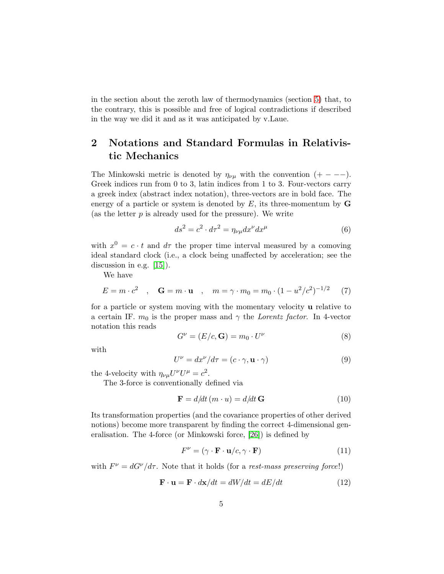in the section about the zeroth law of thermodynamics (section [5\)](#page-19-0) that, to the contrary, this is possible and free of logical contradictions if described in the way we did it and as it was anticipated by v.Laue.

# 2 Notations and Standard Formulas in Relativistic Mechanics

The Minkowski metric is denoted by  $\eta_{\nu\mu}$  with the convention  $(+ - -)$ . Greek indices run from 0 to 3, latin indices from 1 to 3. Four-vectors carry a greek index (abstract index notation), three-vectors are in bold face. The energy of a particle or system is denoted by  $E$ , its three-momentum by  $$ (as the letter  $p$  is already used for the pressure). We write

$$
ds^2 = c^2 \cdot d\tau^2 = \eta_{\nu\mu} dx^{\nu} dx^{\mu} \tag{6}
$$

with  $x^0 = c \cdot t$  and  $d\tau$  the proper time interval measured by a comoving ideal standard clock (i.e., a clock being unaffected by acceleration; see the discussion in e.g. [\[15\]](#page-25-14)).

We have

$$
E = m \cdot c^2 \quad , \quad \mathbf{G} = m \cdot \mathbf{u} \quad , \quad m = \gamma \cdot m_0 = m_0 \cdot (1 - u^2/c^2)^{-1/2} \tag{7}
$$

for a particle or system moving with the momentary velocity u relative to a certain IF.  $m_0$  is the proper mass and  $\gamma$  the Lorentz factor. In 4-vector notation this reads

$$
G^{\nu} = (E/c, \mathbf{G}) = m_0 \cdot U^{\nu}
$$
 (8)

with

$$
U^{\nu} = dx^{\nu}/d\tau = (c \cdot \gamma, \mathbf{u} \cdot \gamma)
$$
\n(9)

the 4-velocity with  $\eta_{\nu\mu}U^{\nu}U^{\mu} = c^2$ .

The 3-force is conventionally defined via

$$
\mathbf{F} = d/dt \left( m \cdot u \right) = d/dt \, \mathbf{G} \tag{10}
$$

Its transformation properties (and the covariance properties of other derived notions) become more transparent by finding the correct 4-dimensional generalisation. The 4-force (or Minkowski force, [\[26\]](#page-26-9)) is defined by

$$
F^{\nu} = (\gamma \cdot \mathbf{F} \cdot \mathbf{u}/c, \gamma \cdot \mathbf{F}) \tag{11}
$$

with  $F^{\nu} = dG^{\nu}/d\tau$ . Note that it holds (for a rest-mass preserving force!)

$$
\mathbf{F} \cdot \mathbf{u} = \mathbf{F} \cdot d\mathbf{x}/dt = dW/dt = dE/dt \tag{12}
$$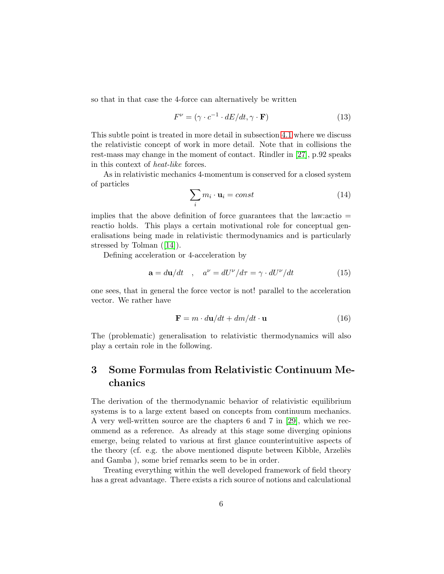so that in that case the 4-force can alternatively be written

$$
F^{\nu} = (\gamma \cdot c^{-1} \cdot dE/dt, \gamma \cdot \mathbf{F}) \tag{13}
$$

This subtle point is treated in more detail in subsection [4.1](#page-11-0) where we discuss the relativistic concept of work in more detail. Note that in collisions the rest-mass may change in the moment of contact. Rindler in [\[27\]](#page-26-10), p.92 speaks in this context of heat-like forces.

As in relativistic mechanics 4-momentum is conserved for a closed system of particles

$$
\sum_{i} m_i \cdot \mathbf{u}_i = const \tag{14}
$$

implies that the above definition of force guarantees that the law: actio  $=$ reactio holds. This plays a certain motivational role for conceptual generalisations being made in relativistic thermodynamics and is particularly stressed by Tolman ([\[14\]](#page-25-13)).

Defining acceleration or 4-acceleration by

$$
\mathbf{a} = d\mathbf{u}/dt \quad , \quad a^{\nu} = dU^{\nu}/d\tau = \gamma \cdot dU^{\nu}/dt \tag{15}
$$

one sees, that in general the force vector is not! parallel to the acceleration vector. We rather have

$$
\mathbf{F} = m \cdot d\mathbf{u}/dt + dm/dt \cdot \mathbf{u}
$$
 (16)

The (problematic) generalisation to relativistic thermodynamics will also play a certain role in the following.

# 3 Some Formulas from Relativistic Continuum Mechanics

The derivation of the thermodynamic behavior of relativistic equilibrium systems is to a large extent based on concepts from continuum mechanics. A very well-written source are the chapters 6 and 7 in [\[29\]](#page-26-0), which we recommend as a reference. As already at this stage some diverging opinions emerge, being related to various at first glance counterintuitive aspects of the theory (cf. e.g. the above mentioned dispute between Kibble, Arzeliès and Gamba ), some brief remarks seem to be in order.

Treating everything within the well developed framework of field theory has a great advantage. There exists a rich source of notions and calculational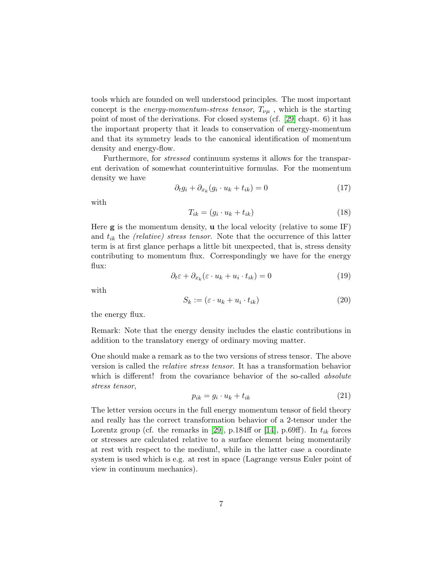tools which are founded on well understood principles. The most important concept is the *energy-momentum-stress tensor*,  $T_{\nu\mu}$ , which is the starting point of most of the derivations. For closed systems (cf. [\[29\]](#page-26-0) chapt. 6) it has the important property that it leads to conservation of energy-momentum and that its symmetry leads to the canonical identification of momentum density and energy-flow.

Furthermore, for stressed continuum systems it allows for the transparent derivation of somewhat counterintuitive formulas. For the momentum density we have

$$
\partial_t g_i + \partial_{x_k} (g_i \cdot u_k + t_{ik}) = 0 \tag{17}
$$

with

$$
T_{ik} = (g_i \cdot u_k + t_{ik}) \tag{18}
$$

Here  $g$  is the momentum density,  $u$  the local velocity (relative to some IF) and  $t_{ik}$  the *(relative)* stress tensor. Note that the occurrence of this latter term is at first glance perhaps a little bit unexpected, that is, stress density contributing to momentum flux. Correspondingly we have for the energy flux:

$$
\partial_t \varepsilon + \partial_{x_k} (\varepsilon \cdot u_k + u_i \cdot t_{ik}) = 0 \tag{19}
$$

with

$$
S_k := (\varepsilon \cdot u_k + u_i \cdot t_{ik}) \tag{20}
$$

the energy flux.

Remark: Note that the energy density includes the elastic contributions in addition to the translatory energy of ordinary moving matter.

One should make a remark as to the two versions of stress tensor. The above version is called the relative stress tensor. It has a transformation behavior which is different! from the covariance behavior of the so-called *absolute* stress tensor,

$$
p_{ik} = g_i \cdot u_k + t_{ik} \tag{21}
$$

The letter version occurs in the full energy momentum tensor of field theory and really has the correct transformation behavior of a 2-tensor under the Lorentz group (cf. the remarks in [\[29\]](#page-26-0), p.184ff or [\[14\]](#page-25-13), p.69ff). In  $t_{ik}$  forces or stresses are calculated relative to a surface element being momentarily at rest with respect to the medium!, while in the latter case a coordinate system is used which is e.g. at rest in space (Lagrange versus Euler point of view in continuum mechanics).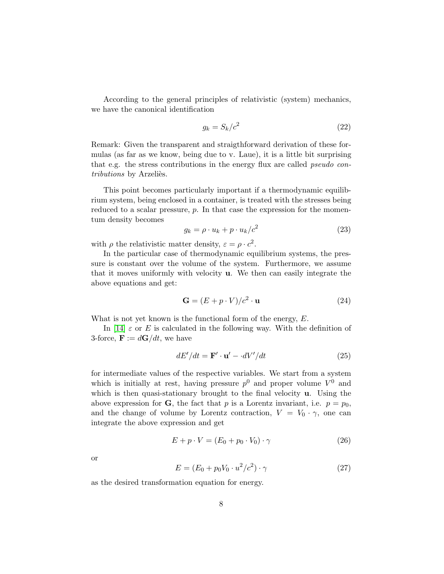According to the general principles of relativistic (system) mechanics, we have the canonical identification

$$
g_k = S_k/c^2 \tag{22}
$$

Remark: Given the transparent and straigthforward derivation of these formulas (as far as we know, being due to v. Laue), it is a little bit surprising that e.g. the stress contributions in the energy flux are called *pseudo con*tributions by Arzeliès.

This point becomes particularly important if a thermodynamic equilibrium system, being enclosed in a container, is treated with the stresses being reduced to a scalar pressure,  $p$ . In that case the expression for the momentum density becomes

$$
g_k = \rho \cdot u_k + p \cdot u_k/c^2 \tag{23}
$$

with  $\rho$  the relativistic matter density,  $\varepsilon = \rho \cdot c^2$ .

In the particular case of thermodynamic equilibrium systems, the pressure is constant over the volume of the system. Furthermore, we assume that it moves uniformly with velocity u. We then can easily integrate the above equations and get:

$$
\mathbf{G} = (E + p \cdot V)/c^2 \cdot \mathbf{u} \tag{24}
$$

What is not yet known is the functional form of the energy,  $E$ .

In [\[14\]](#page-25-13)  $\varepsilon$  or E is calculated in the following way. With the definition of 3-force,  $\mathbf{F} := d\mathbf{G}/dt$ , we have

$$
dE'/dt = \mathbf{F}' \cdot \mathbf{u}' - \cdot dV'/dt \tag{25}
$$

for intermediate values of the respective variables. We start from a system which is initially at rest, having pressure  $p^0$  and proper volume  $V^0$  and which is then quasi-stationary brought to the final velocity **u**. Using the above expression for **G**, the fact that p is a Lorentz invariant, i.e.  $p = p_0$ , and the change of volume by Lorentz contraction,  $V = V_0 \cdot \gamma$ , one can integrate the above expression and get

$$
E + p \cdot V = (E_0 + p_0 \cdot V_0) \cdot \gamma \tag{26}
$$

or

<span id="page-8-0"></span>
$$
E = (E_0 + p_0 V_0 \cdot u^2/c^2) \cdot \gamma \tag{27}
$$

as the desired transformation equation for energy.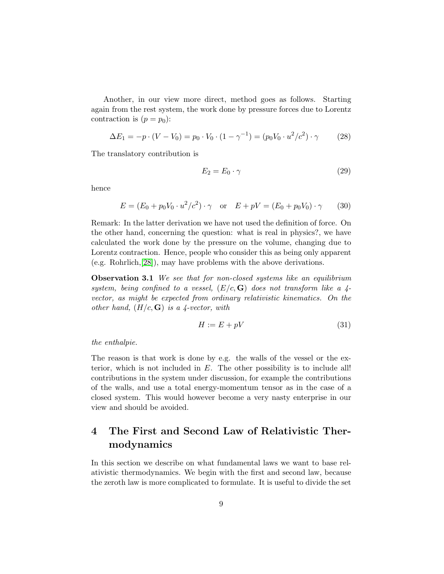Another, in our view more direct, method goes as follows. Starting again from the rest system, the work done by pressure forces due to Lorentz contraction is  $(p = p_0)$ :

<span id="page-9-0"></span>
$$
\Delta E_1 = -p \cdot (V - V_0) = p_0 \cdot V_0 \cdot (1 - \gamma^{-1}) = (p_0 V_0 \cdot u^2 / c^2) \cdot \gamma \tag{28}
$$

The translatory contribution is

$$
E_2 = E_0 \cdot \gamma \tag{29}
$$

hence

<span id="page-9-1"></span>
$$
E = (E_0 + p_0 V_0 \cdot u^2 / c^2) \cdot \gamma \quad \text{or} \quad E + pV = (E_0 + p_0 V_0) \cdot \gamma \tag{30}
$$

Remark: In the latter derivation we have not used the definition of force. On the other hand, concerning the question: what is real in physics?, we have calculated the work done by the pressure on the volume, changing due to Lorentz contraction. Hence, people who consider this as being only apparent (e.g. Rohrlich,[\[28\]](#page-26-11)), may have problems with the above derivations.

**Observation 3.1** We see that for non-closed systems like an equilibrium system, being confined to a vessel,  $(E/\mathfrak{c}, G)$  does not transform like a 4vector, as might be expected from ordinary relativistic kinematics. On the other hand,  $(H/c, G)$  is a 4-vector, with

<span id="page-9-2"></span>
$$
H := E + pV \tag{31}
$$

the enthalpie.

The reason is that work is done by e.g. the walls of the vessel or the exterior, which is not included in  $E$ . The other possibility is to include all! contributions in the system under discussion, for example the contributions of the walls, and use a total energy-momentum tensor as in the case of a closed system. This would however become a very nasty enterprise in our view and should be avoided.

# 4 The First and Second Law of Relativistic Thermodynamics

In this section we describe on what fundamental laws we want to base relativistic thermodynamics. We begin with the first and second law, because the zeroth law is more complicated to formulate. It is useful to divide the set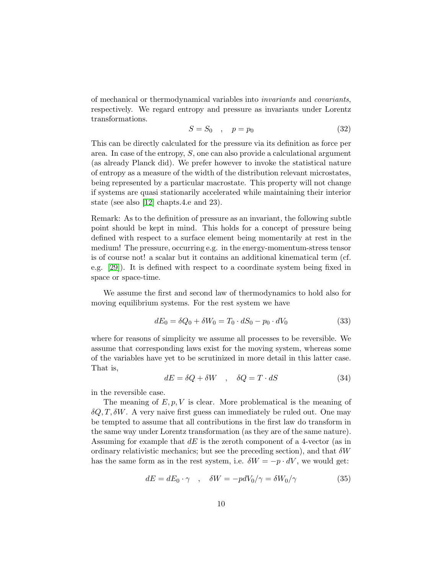of mechanical or thermodynamical variables into invariants and covariants, respectively. We regard entropy and pressure as invariants under Lorentz transformations.

$$
S = S_0 \quad , \quad p = p_0 \tag{32}
$$

This can be directly calculated for the pressure via its definition as force per area. In case of the entropy,  $S$ , one can also provide a calculational argument (as already Planck did). We prefer however to invoke the statistical nature of entropy as a measure of the width of the distribution relevant microstates, being represented by a particular macrostate. This property will not change if systems are quasi stationarily accelerated while maintaining their interior state (see also [\[12\]](#page-25-11) chapts.4.e and 23).

Remark: As to the definition of pressure as an invariant, the following subtle point should be kept in mind. This holds for a concept of pressure being defined with respect to a surface element being momentarily at rest in the medium! The pressure, occurring e.g. in the energy-momentum-stress tensor is of course not! a scalar but it contains an additional kinematical term (cf. e.g. [\[29\]](#page-26-0)). It is defined with respect to a coordinate system being fixed in space or space-time.

We assume the first and second law of thermodynamics to hold also for moving equilibrium systems. For the rest system we have

$$
dE_0 = \delta Q_0 + \delta W_0 = T_0 \cdot dS_0 - p_0 \cdot dV_0 \tag{33}
$$

where for reasons of simplicity we assume all processes to be reversible. We assume that corresponding laws exist for the moving system, whereas some of the variables have yet to be scrutinized in more detail in this latter case. That is,

$$
dE = \delta Q + \delta W \quad , \quad \delta Q = T \cdot dS \tag{34}
$$

in the reversible case.

The meaning of  $E, p, V$  is clear. More problematical is the meaning of  $\delta Q, T, \delta W$ . A very naive first guess can immediately be ruled out. One may be tempted to assume that all contributions in the first law do transform in the same way under Lorentz transformation (as they are of the same nature). Assuming for example that  $dE$  is the zeroth component of a 4-vector (as in ordinary relativistic mechanics; but see the preceding section), and that  $\delta W$ has the same form as in the rest system, i.e.  $\delta W = -p \cdot dV$ , we would get:

$$
dE = dE_0 \cdot \gamma \quad , \quad \delta W = -pdV_0/\gamma = \delta W_0/\gamma \tag{35}
$$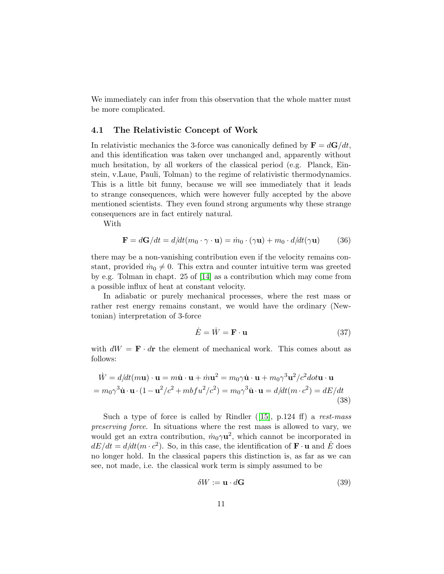We immediately can infer from this observation that the whole matter must be more complicated.

#### <span id="page-11-0"></span>4.1 The Relativistic Concept of Work

In relativistic mechanics the 3-force was canonically defined by  $\mathbf{F} = d\mathbf{G}/dt$ , and this identification was taken over unchanged and, apparently without much hesitation, by all workers of the classical period (e.g. Planck, Einstein, v.Laue, Pauli, Tolman) to the regime of relativistic thermodynamics. This is a little bit funny, because we will see immediately that it leads to strange consequences, which were however fully accepted by the above mentioned scientists. They even found strong arguments why these strange consequences are in fact entirely natural.

With

$$
\mathbf{F} = d\mathbf{G}/dt = d/dt(m_0 \cdot \gamma \cdot \mathbf{u}) = \dot{m}_0 \cdot (\gamma \mathbf{u}) + m_0 \cdot d/dt(\gamma \mathbf{u}) \tag{36}
$$

there may be a non-vanishing contribution even if the velocity remains constant, provided  $\dot{m}_0 \neq 0$ . This extra and counter intuitive term was greeted by e.g. Tolman in chapt. 25 of [\[14\]](#page-25-13) as a contribution which may come from a possible influx of heat at constant velocity.

In adiabatic or purely mechanical processes, where the rest mass or rather rest energy remains constant, we would have the ordinary (Newtonian) interpretation of 3-force

<span id="page-11-1"></span>
$$
\dot{E} = \dot{W} = \mathbf{F} \cdot \mathbf{u} \tag{37}
$$

with  $dW = \mathbf{F} \cdot d\mathbf{r}$  the element of mechanical work. This comes about as follows:

$$
\dot{W} = d/dt(m\mathbf{u}) \cdot \mathbf{u} = m\dot{\mathbf{u}} \cdot \mathbf{u} + \dot{m}\mathbf{u}^2 = m_0 \gamma \dot{\mathbf{u}} \cdot \mathbf{u} + m_0 \gamma^3 \mathbf{u}^2 / c^2 \dot{\mathbf{d}} \dot{\mathbf{d}} \mathbf{u} \cdot \mathbf{u}
$$
  
=  $m_0 \gamma^3 \dot{\mathbf{u}} \cdot \mathbf{u} \cdot (1 - \mathbf{u}^2 / c^2 + m b f u^2 / c^2) = m_0 \gamma^3 \dot{\mathbf{u}} \cdot \mathbf{u} = d/dt (m \cdot c^2) = dE/dt$  (38)

Such a type of force is called by Rindler  $(15)$ , p.124 ff) a rest-mass preserving force. In situations where the rest mass is allowed to vary, we would get an extra contribution,  $\dot{m}_0 \gamma \mathbf{u}^2$ , which cannot be incorporated in  $dE/dt = d/dt(m \cdot c^2)$ . So, in this case, the identification of  $\mathbf{F} \cdot \mathbf{u}$  and  $\dot{E}$  does no longer hold. In the classical papers this distinction is, as far as we can see, not made, i.e. the classical work term is simply assumed to be

$$
\delta W := \mathbf{u} \cdot d\mathbf{G} \tag{39}
$$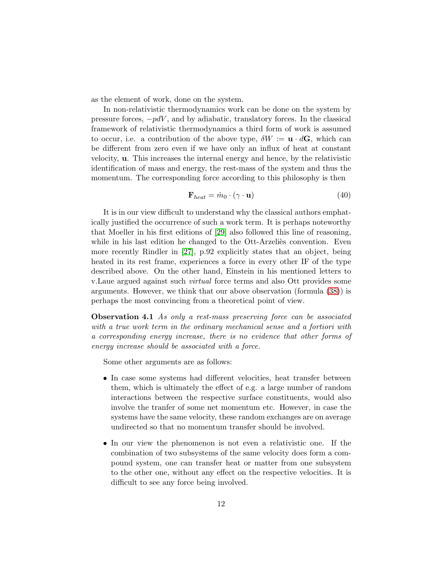as the element of work, done on the system.

In non-relativistic thermodynamics work can be done on the system by pressure forces,  $-pdV$ , and by adiabatic, translatory forces. In the classical framework of relativistic thermodynamics a third form of work is assumed to occur, i.e. a contribution of the above type,  $\delta W := \mathbf{u} \cdot d\mathbf{G}$ , which can be different from zero even if we have only an influx of heat at constant velocity, u. This increases the internal energy and hence, by the relativistic identification of mass and energy, the rest-mass of the system and thus the momentum. The corresponding force according to this philosophy is then

$$
\mathbf{F}_{heat} = \dot{m}_0 \cdot (\gamma \cdot \mathbf{u}) \tag{40}
$$

It is in our view difficult to understand why the classical authors emphatically justified the occurrence of such a work term. It is perhaps noteworthy that Moeller in his first editions of [\[29\]](#page-26-0) also followed this line of reasoning, while in his last edition he changed to the Ott-Arzelies convention. Even more recently Rindler in [\[27\]](#page-26-10), p.92 explicitly states that an object, being heated in its rest frame, experiences a force in every other IF of the type described above. On the other hand, Einstein in his mentioned letters to v.Laue argued against such virtual force terms and also Ott provides some arguments. However, we think that our above observation (formula [\(38\)](#page-11-1)) is perhaps the most convincing from a theoretical point of view.

**Observation 4.1** As only a rest-mass preserving force can be associated with a true work term in the ordinary mechanical sense and a fortiori with a corresponding energy increase, there is no evidence that other forms of energy increase should be associated with a force.

Some other arguments are as follows:

- In case some systems had different velocities, heat transfer between them, which is ultimately the effect of e.g. a large number of random interactions between the respective surface constituents, would also involve the tranfer of some net momentum etc. However, in case the systems have the same velocity, these random exchanges are on average undirected so that no momentum transfer should be involved.
- In our view the phenomenon is not even a relativistic one. If the combination of two subsystems of the same velocity does form a compound system, one can transfer heat or matter from one subsystem to the other one, without any effect on the respective velocities. It is difficult to see any force being involved.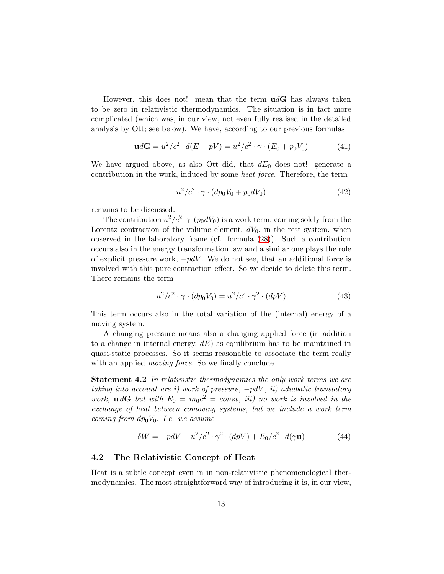However, this does not! mean that the term  $udG$  has always taken to be zero in relativistic thermodynamics. The situation is in fact more complicated (which was, in our view, not even fully realised in the detailed analysis by Ott; see below). We have, according to our previous formulas

$$
udG = u^2/c^2 \cdot d(E + pV) = u^2/c^2 \cdot \gamma \cdot (E_0 + p_0 V_0)
$$
 (41)

We have argued above, as also Ott did, that  $dE_0$  does not! generate a contribution in the work, induced by some heat force. Therefore, the term

$$
u^2/c^2 \cdot \gamma \cdot (dp_0 V_0 + p_0 dV_0) \tag{42}
$$

remains to be discussed.

The contribution  $u^2/c^2 \cdot \gamma \cdot (p_0 dV_0)$  is a work term, coming solely from the Lorentz contraction of the volume element,  $dV_0$ , in the rest system, when observed in the laboratory frame (cf. formula [\(28\)](#page-9-0)). Such a contribution occurs also in the energy transformation law and a similar one plays the role of explicit pressure work,  $-pdV$ . We do not see, that an additional force is involved with this pure contraction effect. So we decide to delete this term. There remains the term

$$
u^{2}/c^{2} \cdot \gamma \cdot (dp_{0}V_{0}) = u^{2}/c^{2} \cdot \gamma^{2} \cdot (dpV)
$$
 (43)

This term occurs also in the total variation of the (internal) energy of a moving system.

A changing pressure means also a changing applied force (in addition to a change in internal energy,  $dE$ ) as equilibrium has to be maintained in quasi-static processes. So it seems reasonable to associate the term really with an applied *moving force*. So we finally conclude

**Statement 4.2** In relativistic thermodynamics the only work terms we are taking into account are i) work of pressure,  $-pdV$ , ii) adiabatic translatory work,  $\mathbf{u} d\mathbf{G}$  but with  $E_0 = m_0 c^2 = const$ , iii) no work is involved in the exchange of heat between comoving systems, but we include a work term coming from  $dp_0V_0$ . I.e. we assume

$$
\delta W = -pdV + u^2/c^2 \cdot \gamma^2 \cdot (dpV) + E_0/c^2 \cdot d(\gamma \mathbf{u}) \tag{44}
$$

### 4.2 The Relativistic Concept of Heat

Heat is a subtle concept even in in non-relativistic phenomenological thermodynamics. The most straightforward way of introducing it is, in our view,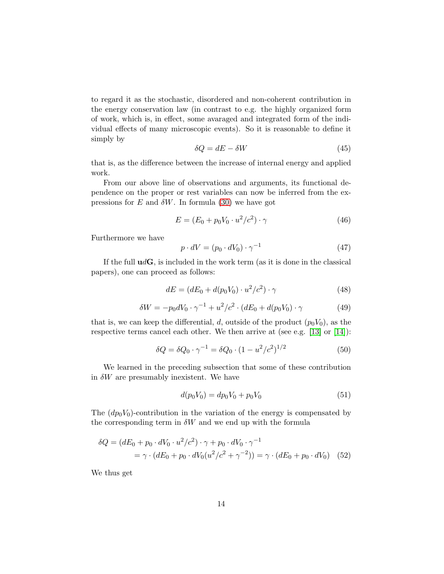to regard it as the stochastic, disordered and non-coherent contribution in the energy conservation law (in contrast to e.g. the highly organized form of work, which is, in effect, some avaraged and integrated form of the individual effects of many microscopic events). So it is reasonable to define it simply by

$$
\delta Q = dE - \delta W \tag{45}
$$

that is, as the difference between the increase of internal energy and applied work.

From our above line of observations and arguments, its functional dependence on the proper or rest variables can now be inferred from the expressions for E and  $\delta W$ . In formula [\(30\)](#page-9-1) we have got

$$
E = (E_0 + p_0 V_0 \cdot u^2 / c^2) \cdot \gamma \tag{46}
$$

Furthermore we have

$$
p \cdot dV = (p_0 \cdot dV_0) \cdot \gamma^{-1} \tag{47}
$$

If the full  $\mathbf{u} \, d\mathbf{G}$ , is included in the work term (as it is done in the classical papers), one can proceed as follows:

$$
dE = (dE_0 + d(p_0 V_0) \cdot u^2/c^2) \cdot \gamma \tag{48}
$$

$$
\delta W = -p_0 dV_0 \cdot \gamma^{-1} + u^2/c^2 \cdot (dE_0 + d(p_0 V_0) \cdot \gamma \tag{49}
$$

that is, we can keep the differential, d, outside of the product  $(p_0V_0)$ , as the respective terms cancel each other. We then arrive at (see e.g. [\[13\]](#page-25-12) or [\[14\]](#page-25-13)):

$$
\delta Q = \delta Q_0 \cdot \gamma^{-1} = \delta Q_0 \cdot (1 - u^2/c^2)^{1/2} \tag{50}
$$

We learned in the preceding subsection that some of these contribution in  $\delta W$  are presumably inexistent. We have

$$
d(p_0 V_0) = dp_0 V_0 + p_0 V_0 \tag{51}
$$

The  $(dp_0V_0)$ -contribution in the variation of the energy is compensated by the corresponding term in  $\delta W$  and we end up with the formula

$$
\delta Q = (dE_0 + p_0 \cdot dV_0 \cdot u^2/c^2) \cdot \gamma + p_0 \cdot dV_0 \cdot \gamma^{-1}
$$
  
=  $\gamma \cdot (dE_0 + p_0 \cdot dV_0(u^2/c^2 + \gamma^{-2})) = \gamma \cdot (dE_0 + p_0 \cdot dV_0)$  (52)

We thus get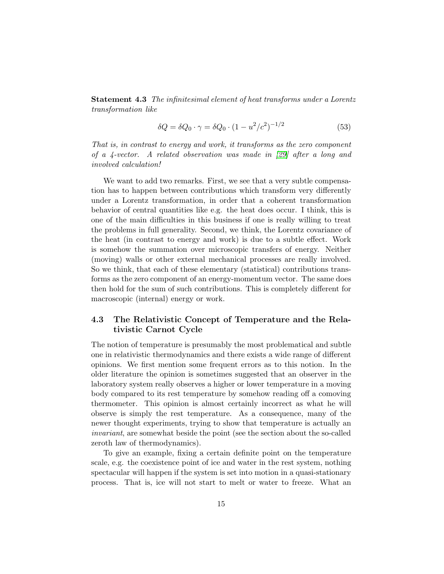Statement 4.3 The infinitesimal element of heat transforms under a Lorentz transformation like

$$
\delta Q = \delta Q_0 \cdot \gamma = \delta Q_0 \cdot (1 - u^2/c^2)^{-1/2} \tag{53}
$$

That is, in contrast to energy and work, it transforms as the zero component of a 4-vector. A related observation was made in [\[29\]](#page-26-0) after a long and involved calculation!

We want to add two remarks. First, we see that a very subtle compensation has to happen between contributions which transform very differently under a Lorentz transformation, in order that a coherent transformation behavior of central quantities like e.g. the heat does occur. I think, this is one of the main difficulties in this business if one is really willing to treat the problems in full generality. Second, we think, the Lorentz covariance of the heat (in contrast to energy and work) is due to a subtle effect. Work is somehow the summation over microscopic transfers of energy. Neither (moving) walls or other external mechanical processes are really involved. So we think, that each of these elementary (statistical) contributions transforms as the zero component of an energy-momentum vector. The same does then hold for the sum of such contributions. This is completely different for macroscopic (internal) energy or work.

### 4.3 The Relativistic Concept of Temperature and the Relativistic Carnot Cycle

The notion of temperature is presumably the most problematical and subtle one in relativistic thermodynamics and there exists a wide range of different opinions. We first mention some frequent errors as to this notion. In the older literature the opinion is sometimes suggested that an observer in the laboratory system really observes a higher or lower temperature in a moving body compared to its rest temperature by somehow reading off a comoving thermometer. This opinion is almost certainly incorrect as what he will observe is simply the rest temperature. As a consequence, many of the newer thought experiments, trying to show that temperature is actually an invariant, are somewhat beside the point (see the section about the so-called zeroth law of thermodynamics).

To give an example, fixing a certain definite point on the temperature scale, e.g. the coexistence point of ice and water in the rest system, nothing spectacular will happen if the system is set into motion in a quasi-stationary process. That is, ice will not start to melt or water to freeze. What an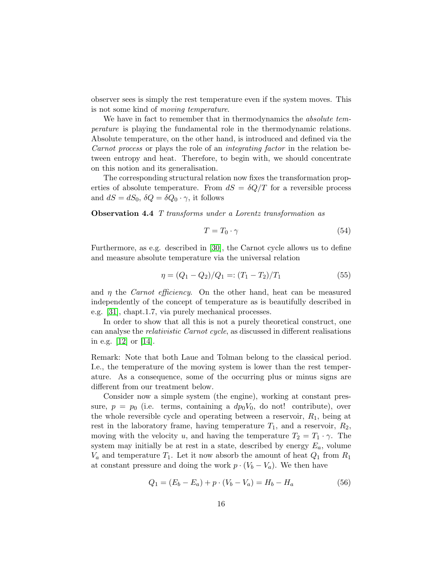observer sees is simply the rest temperature even if the system moves. This is not some kind of moving temperature.

We have in fact to remember that in thermodynamics the *absolute tem*perature is playing the fundamental role in the thermodynamic relations. Absolute temperature, on the other hand, is introduced and defined via the Carnot process or plays the role of an integrating factor in the relation between entropy and heat. Therefore, to begin with, we should concentrate on this notion and its generalisation.

The corresponding structural relation now fixes the transformation properties of absolute temperature. From  $dS = \delta Q/T$  for a reversible process and  $dS = dS_0$ ,  $\delta Q = \delta Q_0 \cdot \gamma$ , it follows

Observation 4.4 T transforms under a Lorentz transformation as

$$
T = T_0 \cdot \gamma \tag{54}
$$

Furthermore, as e.g. described in [\[30\]](#page-26-12), the Carnot cycle allows us to define and measure absolute temperature via the universal relation

$$
\eta = (Q_1 - Q_2)/Q_1 =: (T_1 - T_2)/T_1 \tag{55}
$$

and  $\eta$  the *Carnot efficiency*. On the other hand, heat can be measured independently of the concept of temperature as is beautifully described in e.g. [\[31\]](#page-26-13), chapt.1.7, via purely mechanical processes.

In order to show that all this is not a purely theoretical construct, one can analyse the relativistic Carnot cycle, as discussed in different realisations in e.g. [\[12\]](#page-25-11) or [\[14\]](#page-25-13).

Remark: Note that both Laue and Tolman belong to the classical period. I.e., the temperature of the moving system is lower than the rest temperature. As a consequence, some of the occurring plus or minus signs are different from our treatment below.

Consider now a simple system (the engine), working at constant pressure,  $p = p_0$  (i.e. terms, containing a  $dp_0V_0$ , do not! contribute), over the whole reversible cycle and operating between a reservoir,  $R_1$ , being at rest in the laboratory frame, having temperature  $T_1$ , and a reservoir,  $R_2$ , moving with the velocity u, and having the temperature  $T_2 = T_1 \cdot \gamma$ . The system may initially be at rest in a state, described by energy  $E_a$ , volume  $V_a$  and temperature  $T_1$ . Let it now absorb the amount of heat  $Q_1$  from  $R_1$ at constant pressure and doing the work  $p \cdot (V_b - V_a)$ . We then have

$$
Q_1 = (E_b - E_a) + p \cdot (V_b - V_a) = H_b - H_a \tag{56}
$$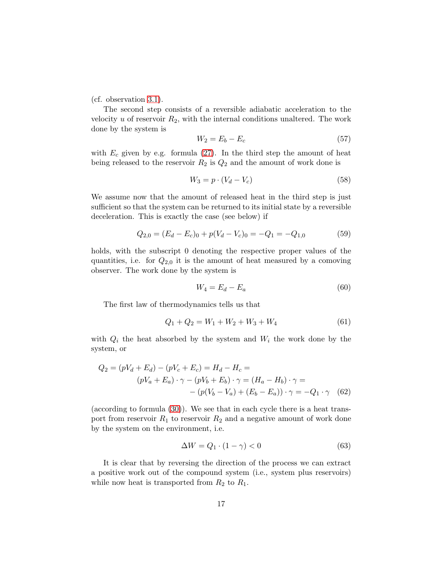(cf. observation [3.1\)](#page-9-2).

The second step consists of a reversible adiabatic acceleration to the velocity  $u$  of reservoir  $R_2$ , with the internal conditions unaltered. The work done by the system is

$$
W_2 = E_b - E_c \tag{57}
$$

with  $E_c$  given by e.g. formula [\(27\)](#page-8-0). In the third step the amount of heat being released to the reservoir  $R_2$  is  $Q_2$  and the amount of work done is

$$
W_3 = p \cdot (V_d - V_c) \tag{58}
$$

We assume now that the amount of released heat in the third step is just sufficient so that the system can be returned to its initial state by a reversible deceleration. This is exactly the case (see below) if

$$
Q_{2,0} = (E_d - E_c)_0 + p(V_d - V_c)_0 = -Q_1 = -Q_{1,0}
$$
\n(59)

holds, with the subscript 0 denoting the respective proper values of the quantities, i.e. for  $Q_{2,0}$  it is the amount of heat measured by a comoving observer. The work done by the system is

$$
W_4 = E_d - E_a \tag{60}
$$

The first law of thermodynamics tells us that

$$
Q_1 + Q_2 = W_1 + W_2 + W_3 + W_4 \tag{61}
$$

with  $Q_i$  the heat absorbed by the system and  $W_i$  the work done by the system, or

$$
Q_2 = (pV_d + E_d) - (pV_c + E_c) = H_d - H_c =
$$
  
\n
$$
(pV_a + E_a) \cdot \gamma - (pV_b + E_b) \cdot \gamma = (H_a - H_b) \cdot \gamma =
$$
  
\n
$$
- (p(V_b - V_a) + (E_b - E_a)) \cdot \gamma = -Q_1 \cdot \gamma \quad (62)
$$

(according to formula [\(30\)](#page-9-1)). We see that in each cycle there is a heat transport from reservoir  $R_1$  to reservoir  $R_2$  and a negative amount of work done by the system on the environment, i.e.

$$
\Delta W = Q_1 \cdot (1 - \gamma) < 0 \tag{63}
$$

It is clear that by reversing the direction of the process we can extract a positive work out of the compound system (i.e., system plus reservoirs) while now heat is transported from  $R_2$  to  $R_1$ .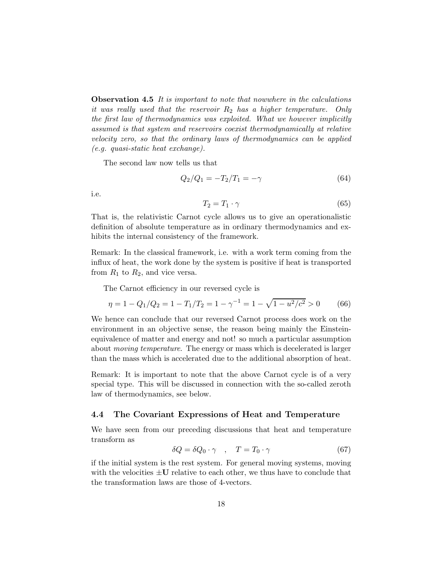**Observation 4.5** It is important to note that nowwhere in the calculations it was really used that the reservoir  $R_2$  has a higher temperature. Only the first law of thermodynamics was exploited. What we however implicitly assumed is that system and reservoirs coexist thermodynamically at relative velocity zero, so that the ordinary laws of thermodynamics can be applied (e.g. quasi-static heat exchange).

The second law now tells us that

<span id="page-18-0"></span>
$$
Q_2/Q_1 = -T_2/T_1 = -\gamma \tag{64}
$$

i.e.

$$
T_2 = T_1 \cdot \gamma \tag{65}
$$

That is, the relativistic Carnot cycle allows us to give an operationalistic definition of absolute temperature as in ordinary thermodynamics and exhibits the internal consistency of the framework.

Remark: In the classical framework, i.e. with a work term coming from the influx of heat, the work done by the system is positive if heat is transported from  $R_1$  to  $R_2$ , and vice versa.

The Carnot efficiency in our reversed cycle is

$$
\eta = 1 - Q_1/Q_2 = 1 - T_1/T_2 = 1 - \gamma^{-1} = 1 - \sqrt{1 - u^2/c^2} > 0 \tag{66}
$$

We hence can conclude that our reversed Carnot process does work on the environment in an objective sense, the reason being mainly the Einsteinequivalence of matter and energy and not! so much a particular assumption about moving temperature. The energy or mass which is decelerated is larger than the mass which is accelerated due to the additional absorption of heat.

Remark: It is important to note that the above Carnot cycle is of a very special type. This will be discussed in connection with the so-called zeroth law of thermodynamics, see below.

#### 4.4 The Covariant Expressions of Heat and Temperature

We have seen from our preceding discussions that heat and temperature transform as

$$
\delta Q = \delta Q_0 \cdot \gamma \quad , \quad T = T_0 \cdot \gamma \tag{67}
$$

if the initial system is the rest system. For general moving systems, moving with the velocities  $\pm U$  relative to each other, we thus have to conclude that the transformation laws are those of 4-vectors.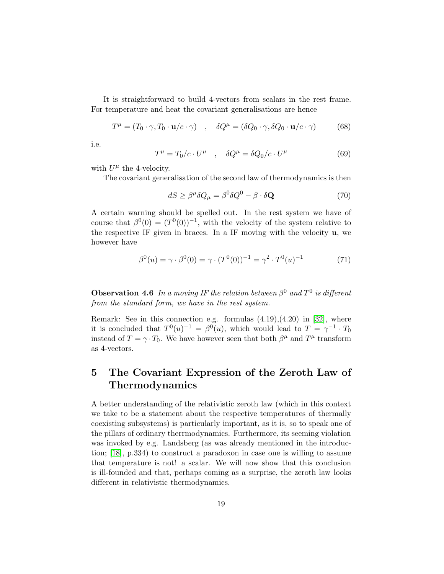It is straightforward to build 4-vectors from scalars in the rest frame. For temperature and heat the covariant generalisations are hence

$$
T^{\mu} = (T_0 \cdot \gamma, T_0 \cdot \mathbf{u}/c \cdot \gamma) \quad , \quad \delta Q^{\mu} = (\delta Q_0 \cdot \gamma, \delta Q_0 \cdot \mathbf{u}/c \cdot \gamma) \tag{68}
$$

i.e.

$$
T^{\mu} = T_0/c \cdot U^{\mu} \quad , \quad \delta Q^{\mu} = \delta Q_0/c \cdot U^{\mu} \tag{69}
$$

with  $U^{\mu}$  the 4-velocity.

The covariant generalisation of the second law of thermodynamics is then

$$
dS \ge \beta^{\mu} \delta Q_{\mu} = \beta^0 \delta Q^0 - \beta \cdot \delta \mathbf{Q}
$$
 (70)

A certain warning should be spelled out. In the rest system we have of course that  $\beta^0(0) = (T^0(0))^{-1}$ , with the velocity of the system relative to the respective IF given in braces. In a IF moving with the velocity  $\bf{u}$ , we however have

$$
\beta^{0}(u) = \gamma \cdot \beta^{0}(0) = \gamma \cdot (T^{0}(0))^{-1} = \gamma^{2} \cdot T^{0}(u)^{-1}
$$
\n(71)

**Observation 4.6** In a moving IF the relation between  $\beta^0$  and  $T^0$  is different from the standard form, we have in the rest system.

Remark: See in this connection e.g. formulas  $(4.19)$ , $(4.20)$  in [\[32\]](#page-26-14), where it is concluded that  $T^0(u)^{-1} = \beta^0(u)$ , which would lead to  $T = \gamma^{-1} \cdot T_0$ instead of  $T = \gamma \cdot T_0$ . We have however seen that both  $\beta^{\mu}$  and  $T^{\mu}$  transform as 4-vectors.

# <span id="page-19-0"></span>5 The Covariant Expression of the Zeroth Law of Thermodynamics

A better understanding of the relativistic zeroth law (which in this context we take to be a statement about the respective temperatures of thermally coexisting subsystems) is particularly important, as it is, so to speak one of the pillars of ordinary therrmodynamics. Furthermore, its seeming violation was invoked by e.g. Landsberg (as was already mentioned in the introduction; [\[18\]](#page-26-1), p.334) to construct a paradoxon in case one is willing to assume that temperature is not! a scalar. We will now show that this conclusion is ill-founded and that, perhaps coming as a surprise, the zeroth law looks different in relativistic thermodynamics.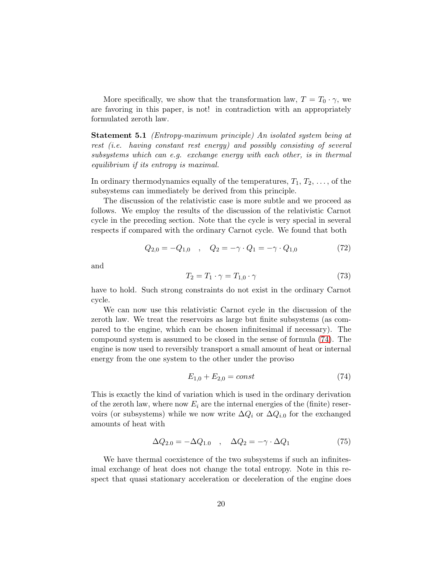More specifically, we show that the transformation law,  $T = T_0 \cdot \gamma$ , we are favoring in this paper, is not! in contradiction with an appropriately formulated zeroth law.

Statement 5.1 (Entropy-maximum principle) An isolated system being at rest (i.e. having constant rest energy) and possibly consisting of several subsystems which can e.g. exchange energy with each other, is in thermal equilibrium if its entropy is maximal.

In ordinary thermodynamics equally of the temperatures,  $T_1, T_2, \ldots$ , of the subsystems can immediately be derived from this principle.

The discussion of the relativistic case is more subtle and we proceed as follows. We employ the results of the discussion of the relativistic Carnot cycle in the preceding section. Note that the cycle is very special in several respects if compared with the ordinary Carnot cycle. We found that both

$$
Q_{2,0} = -Q_{1,0} \quad , \quad Q_2 = -\gamma \cdot Q_1 = -\gamma \cdot Q_{1,0} \tag{72}
$$

and

$$
T_2 = T_1 \cdot \gamma = T_{1,0} \cdot \gamma \tag{73}
$$

have to hold. Such strong constraints do not exist in the ordinary Carnot cycle.

We can now use this relativistic Carnot cycle in the discussion of the zeroth law. We treat the reservoirs as large but finite subsystems (as compared to the engine, which can be chosen infinitesimal if necessary). The compound system is assumed to be closed in the sense of formula [\(74\)](#page-20-0). The engine is now used to reversibly transport a small amount of heat or internal energy from the one system to the other under the proviso

<span id="page-20-0"></span>
$$
E_{1,0} + E_{2,0} = const \tag{74}
$$

This is exactly the kind of variation which is used in the ordinary derivation of the zeroth law, where now  $E_i$  are the internal energies of the (finite) reservoirs (or subsystems) while we now write  $\Delta Q_i$  or  $\Delta Q_{i.0}$  for the exchanged amounts of heat with

$$
\Delta Q_{2.0} = -\Delta Q_{1.0} \quad , \quad \Delta Q_2 = -\gamma \cdot \Delta Q_1 \tag{75}
$$

We have thermal coexistence of the two subsystems if such an infinitesimal exchange of heat does not change the total entropy. Note in this respect that quasi stationary acceleration or deceleration of the engine does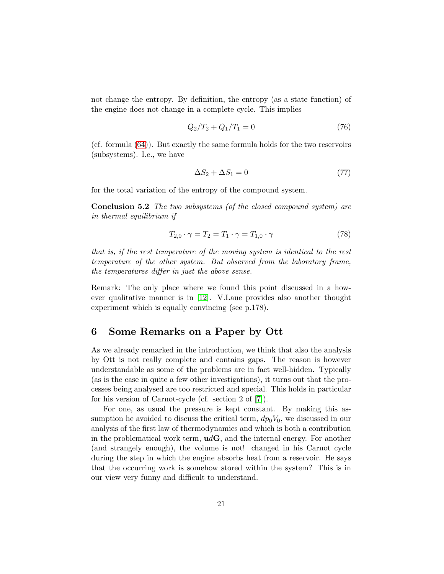not change the entropy. By definition, the entropy (as a state function) of the engine does not change in a complete cycle. This implies

$$
Q_2/T_2 + Q_1/T_1 = 0 \tag{76}
$$

(cf. formula [\(64\)](#page-18-0)). But exactly the same formula holds for the two reservoirs (subsystems). I.e., we have

$$
\Delta S_2 + \Delta S_1 = 0\tag{77}
$$

for the total variation of the entropy of the compound system.

Conclusion 5.2 The two subsystems (of the closed compound system) are in thermal equilibrium if

$$
T_{2,0} \cdot \gamma = T_2 = T_1 \cdot \gamma = T_{1,0} \cdot \gamma \tag{78}
$$

that is, if the rest temperature of the moving system is identical to the rest temperature of the other system. But observed from the laboratory frame, the temperatures differ in just the above sense.

Remark: The only place where we found this point discussed in a however qualitative manner is in [\[12\]](#page-25-11). V.Laue provides also another thought experiment which is equally convincing (see p.178).

### <span id="page-21-0"></span>6 Some Remarks on a Paper by Ott

As we already remarked in the introduction, we think that also the analysis by Ott is not really complete and contains gaps. The reason is however understandable as some of the problems are in fact well-hidden. Typically (as is the case in quite a few other investigations), it turns out that the processes being analysed are too restricted and special. This holds in particular for his version of Carnot-cycle (cf. section 2 of [\[7\]](#page-25-6)).

For one, as usual the pressure is kept constant. By making this assumption he avoided to discuss the critical term,  $dp_0V_0$ , we discussed in our analysis of the first law of thermodynamics and which is both a contribution in the problematical work term,  $udG$ , and the internal energy. For another (and strangely enough), the volume is not! changed in his Carnot cycle during the step in which the engine absorbs heat from a reservoir. He says that the occurring work is somehow stored within the system? This is in our view very funny and difficult to understand.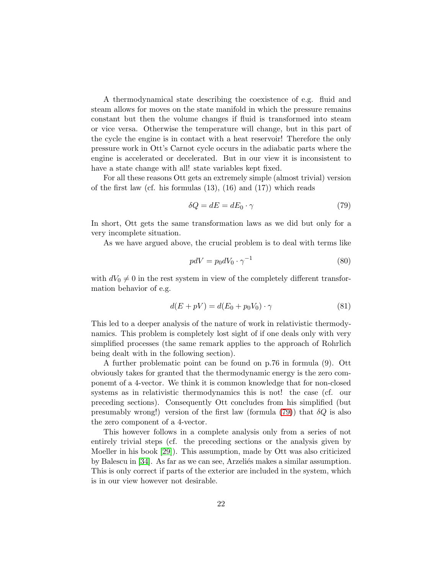A thermodynamical state describing the coexistence of e.g. fluid and steam allows for moves on the state manifold in which the pressure remains constant but then the volume changes if fluid is transformed into steam or vice versa. Otherwise the temperature will change, but in this part of the cycle the engine is in contact with a heat reservoir! Therefore the only pressure work in Ott's Carnot cycle occurs in the adiabatic parts where the engine is accelerated or decelerated. But in our view it is inconsistent to have a state change with all! state variables kept fixed.

For all these reasons Ott gets an extremely simple (almost trivial) version of the first law (cf. his formulas  $(13)$ ,  $(16)$  and  $(17)$ ) which reads

<span id="page-22-0"></span>
$$
\delta Q = dE = dE_0 \cdot \gamma \tag{79}
$$

In short, Ott gets the same transformation laws as we did but only for a very incomplete situation.

As we have argued above, the crucial problem is to deal with terms like

$$
pdV = p_0 dV_0 \cdot \gamma^{-1} \tag{80}
$$

with  $dV_0 \neq 0$  in the rest system in view of the completely different transformation behavior of e.g.

$$
d(E + pV) = d(E_0 + p_0 V_0) \cdot \gamma \tag{81}
$$

This led to a deeper analysis of the nature of work in relativistic thermodynamics. This problem is completely lost sight of if one deals only with very simplified processes (the same remark applies to the approach of Rohrlich being dealt with in the following section).

A further problematic point can be found on p.76 in formula (9). Ott obviously takes for granted that the thermodynamic energy is the zero componemt of a 4-vector. We think it is common knowledge that for non-closed systems as in relativistic thermodynamics this is not! the case (cf. our preceding sections). Consequently Ott concludes from his simplified (but presumably wrong!) version of the first law (formula [\(79\)](#page-22-0)) that  $\delta Q$  is also the zero component of a 4-vector.

This however follows in a complete analysis only from a series of not entirely trivial steps (cf. the preceding sections or the analysis given by Moeller in his book [\[29\]](#page-26-0)). This assumption, made by Ott was also criticized by Balescu in [\[34\]](#page-26-15). As far as we can see, Arzelies makes a similar assumption. This is only correct if parts of the exterior are included in the system, which is in our view however not desirable.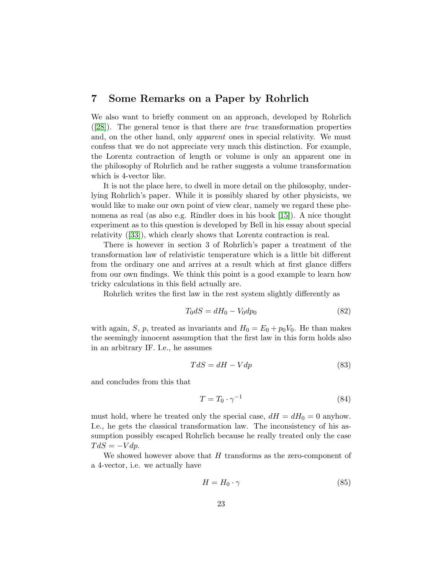## 7 Some Remarks on a Paper by Rohrlich

We also want to briefly comment on an approach, developed by Rohrlich ([\[28\]](#page-26-11)). The general tenor is that there are true transformation properties and, on the other hand, only apparent ones in special relativity. We must confess that we do not appreciate very much this distinction. For example, the Lorentz contraction of length or volume is only an apparent one in the philosophy of Rohrlich and he rather suggests a volume transformation which is 4-vector like.

It is not the place here, to dwell in more detail on the philosophy, underlying Rohrlich's paper. While it is possibly shared by other physicists, we would like to make our own point of view clear, namely we regard these phenomena as real (as also e.g. Rindler does in his book [\[15\]](#page-25-14)). A nice thought experiment as to this question is developed by Bell in his essay about special relativity ([\[33\]](#page-26-16)), which clearly shows that Lorentz contraction is real.

There is however in section 3 of Rohrlich's paper a treatment of the transformation law of relativistic temperature which is a little bit different from the ordinary one and arrives at a result which at first glance differs from our own findings. We think this point is a good example to learn how tricky calculations in this field actually are.

Rohrlich writes the first law in the rest system slightly differently as

$$
T_0 dS = dH_0 - V_0 dp_0 \tag{82}
$$

with again, S, p, treated as invariants and  $H_0 = E_0 + p_0 V_0$ . He than makes the seemingly innocent assumption that the first law in this form holds also in an arbitrary IF. I.e., he assumes

$$
TdS = dH - Vdp \tag{83}
$$

and concludes from this that

$$
T = T_0 \cdot \gamma^{-1} \tag{84}
$$

must hold, where he treated only the special case,  $dH = dH_0 = 0$  anyhow. I.e., he gets the classical transformation law. The inconsistency of his assumption possibly escaped Rohrlich because he really treated only the case  $TdS = -Vdp$ .

We showed however above that  $H$  transforms as the zero-component of a 4-vector, i.e. we actually have

$$
H = H_0 \cdot \gamma \tag{85}
$$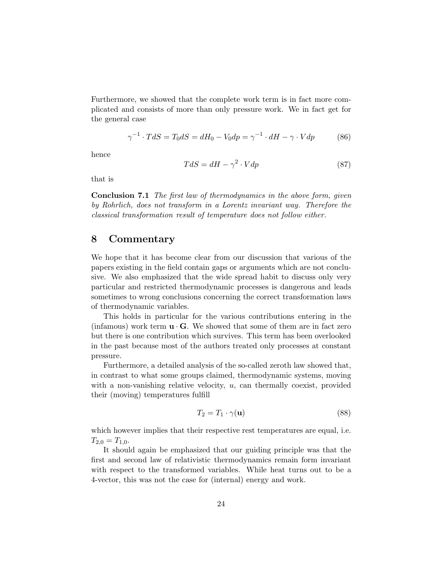Furthermore, we showed that the complete work term is in fact more complicated and consists of more than only pressure work. We in fact get for the general case

$$
\gamma^{-1} \cdot TdS = T_0 dS = dH_0 - V_0 dp = \gamma^{-1} \cdot dH - \gamma \cdot V dp \tag{86}
$$

hence

$$
TdS = dH - \gamma^2 \cdot Vdp \tag{87}
$$

that is

Conclusion 7.1 The first law of thermodynamics in the above form, given by Rohrlich, does not transform in a Lorentz invariant way. Therefore the classical transformation result of temperature does not follow either.

### 8 Commentary

We hope that it has become clear from our discussion that various of the papers existing in the field contain gaps or arguments which are not conclusive. We also emphasized that the wide spread habit to discuss only very particular and restricted thermodynamic processes is dangerous and leads sometimes to wrong conclusions concerning the correct transformation laws of thermodynamic variables.

This holds in particular for the various contributions entering in the (infamous) work term  $\mathbf{u} \cdot \mathbf{G}$ . We showed that some of them are in fact zero but there is one contribution which survives. This term has been overlooked in the past because most of the authors treated only processes at constant pressure.

Furthermore, a detailed analysis of the so-called zeroth law showed that, in contrast to what some groups claimed, thermodynamic systems, moving with a non-vanishing relative velocity,  $u$ , can thermally coexist, provided their (moving) temperatures fulfill

$$
T_2 = T_1 \cdot \gamma(\mathbf{u}) \tag{88}
$$

which however implies that their respective rest temperatures are equal, i.e.  $T_{2,0} = T_{1,0}.$ 

It should again be emphasized that our guiding principle was that the first and second law of relativistic thermodynamics remain form invariant with respect to the transformed variables. While heat turns out to be a 4-vector, this was not the case for (internal) energy and work.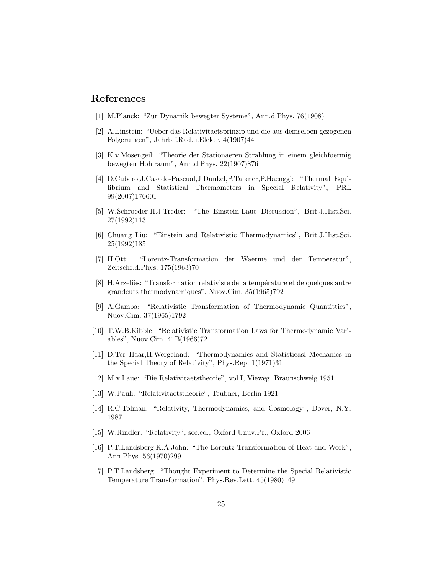### <span id="page-25-0"></span>References

- <span id="page-25-1"></span>[1] M.Planck: "Zur Dynamik bewegter Systeme", Ann.d.Phys. 76(1908)1
- [2] A.Einstein: "Ueber das Relativitaetsprinzip und die aus demselben gezogenen Folgerungen", Jahrb.f.Rad.u.Elektr. 4(1907)44
- <span id="page-25-2"></span>[3] K.v.Mosengeil: "Theorie der Stationaeren Strahlung in einem gleichfoermig bewegten Hohlraum", Ann.d.Phys. 22(1907)876
- <span id="page-25-3"></span>[4] D.Cubero,J.Casado-Pascual,J.Dunkel,P.Talkner,P.Haenggi: "Thermal Equilibrium and Statistical Thermometers in Special Relativity", PRL 99(2007)170601
- <span id="page-25-4"></span>[5] W.Schroeder,H.J.Treder: "The Einstein-Laue Discussion", Brit.J.Hist.Sci. 27(1992)113
- <span id="page-25-5"></span>[6] Chuang Liu: "Einstein and Relativistic Thermodynamics", Brit.J.Hist.Sci. 25(1992)185
- <span id="page-25-6"></span>[7] H.Ott: "Lorentz-Transformation der Waerme und der Temperatur", Zeitschr.d.Phys. 175(1963)70
- <span id="page-25-7"></span>[8] H.Arzeliès: "Transformation relativiste de la température et de quelques autre grandeurs thermodynamiques", Nuov.Cim. 35(1965)792
- <span id="page-25-8"></span>[9] A.Gamba: "Relativistic Transformation of Thermodynamic Quantitties", Nuov.Cim. 37(1965)1792
- <span id="page-25-9"></span>[10] T.W.B.Kibble: "Relativistic Transformation Laws for Thermodynamic Variables", Nuov.Cim. 41B(1966)72
- <span id="page-25-10"></span>[11] D.Ter Haar,H.Wergeland: "Thermodynamics and Statisticasl Mechanics in the Special Theory of Relativity", Phys.Rep. 1(1971)31
- <span id="page-25-12"></span><span id="page-25-11"></span>[12] M.v.Laue: "Die Relativitaetstheorie", vol.I, Vieweg, Braunschweig 1951
- <span id="page-25-13"></span>[13] W.Pauli: "Relativitaetstheorie", Teubner, Berlin 1921
- <span id="page-25-14"></span>[14] R.C.Tolman: "Relativity, Thermodynamics, and Cosmology", Dover, N.Y. 1987
- <span id="page-25-15"></span>[15] W.Rindler: "Relativity", sec.ed., Oxford Unuv.Pr., Oxford 2006
- [16] P.T.Landsberg,K.A.John: "The Lorentz Transformation of Heat and Work", Ann.Phys. 56(1970)299
- <span id="page-25-16"></span>[17] P.T.Landsberg: "Thought Experiment to Determine the Special Relativistic Temperature Transformation", Phys.Rev.Lett. 45(1980)149